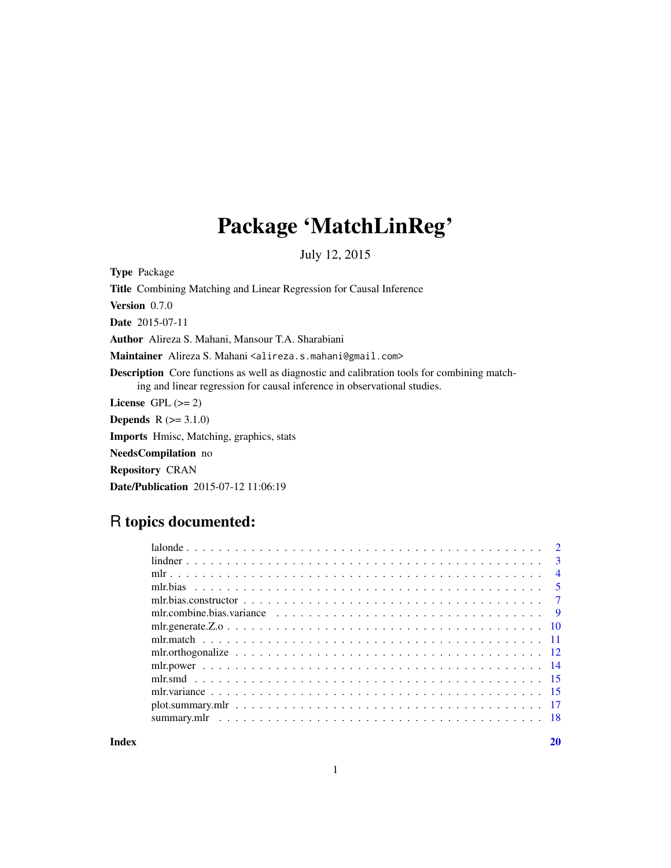# Package 'MatchLinReg'

July 12, 2015

Type Package

Title Combining Matching and Linear Regression for Causal Inference

Version 0.7.0

Date 2015-07-11

Author Alireza S. Mahani, Mansour T.A. Sharabiani

Maintainer Alireza S. Mahani <alireza.s.mahani@gmail.com>

Description Core functions as well as diagnostic and calibration tools for combining matching and linear regression for causal inference in observational studies.

License GPL  $(>= 2)$ 

**Depends**  $R (= 3.1.0)$ 

Imports Hmisc, Matching, graphics, stats

NeedsCompilation no

Repository CRAN

Date/Publication 2015-07-12 11:06:19

# R topics documented:

|                                                                                                          | $\overline{4}$ |
|----------------------------------------------------------------------------------------------------------|----------------|
|                                                                                                          |                |
|                                                                                                          |                |
| mlr.combine.bias.variance $\ldots \ldots \ldots \ldots \ldots \ldots \ldots \ldots \ldots \ldots \ldots$ |                |
|                                                                                                          |                |
|                                                                                                          |                |
|                                                                                                          |                |
|                                                                                                          |                |
|                                                                                                          |                |
|                                                                                                          |                |
|                                                                                                          |                |
|                                                                                                          |                |
|                                                                                                          |                |

 $\bf 1$ ndex  $\bf 20$  $\bf 20$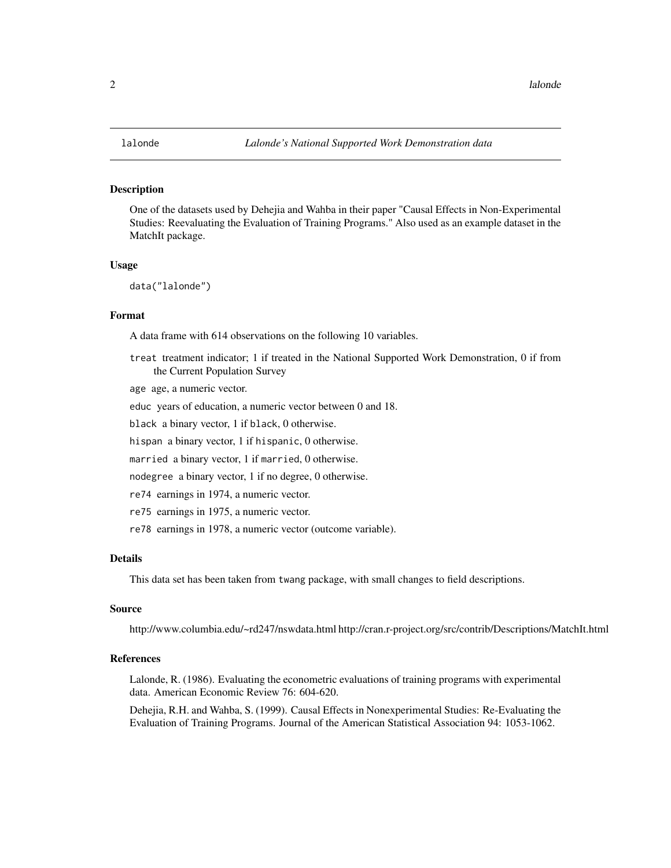<span id="page-1-0"></span>One of the datasets used by Dehejia and Wahba in their paper "Causal Effects in Non-Experimental Studies: Reevaluating the Evaluation of Training Programs." Also used as an example dataset in the MatchIt package.

#### Usage

data("lalonde")

#### Format

A data frame with 614 observations on the following 10 variables.

treat treatment indicator; 1 if treated in the National Supported Work Demonstration, 0 if from the Current Population Survey

age age, a numeric vector.

educ years of education, a numeric vector between 0 and 18.

black a binary vector, 1 if black, 0 otherwise.

hispan a binary vector, 1 if hispanic, 0 otherwise.

married a binary vector, 1 if married, 0 otherwise.

nodegree a binary vector, 1 if no degree, 0 otherwise.

re74 earnings in 1974, a numeric vector.

re75 earnings in 1975, a numeric vector.

re78 earnings in 1978, a numeric vector (outcome variable).

#### Details

This data set has been taken from twang package, with small changes to field descriptions.

# Source

http://www.columbia.edu/~rd247/nswdata.html http://cran.r-project.org/src/contrib/Descriptions/MatchIt.html

#### References

Lalonde, R. (1986). Evaluating the econometric evaluations of training programs with experimental data. American Economic Review 76: 604-620.

Dehejia, R.H. and Wahba, S. (1999). Causal Effects in Nonexperimental Studies: Re-Evaluating the Evaluation of Training Programs. Journal of the American Statistical Association 94: 1053-1062.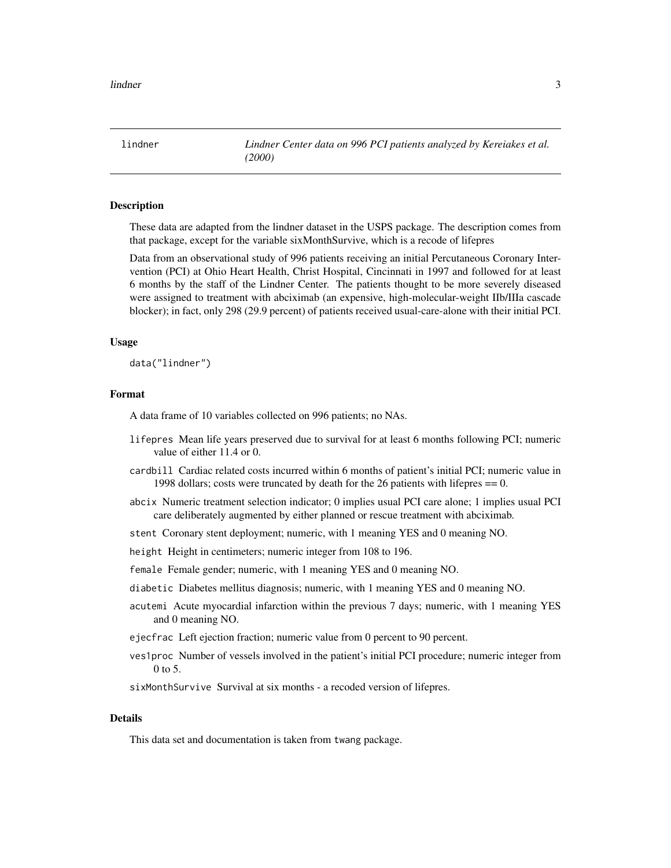<span id="page-2-0"></span>lindner *Lindner Center data on 996 PCI patients analyzed by Kereiakes et al. (2000)*

#### Description

These data are adapted from the lindner dataset in the USPS package. The description comes from that package, except for the variable sixMonthSurvive, which is a recode of lifepres

Data from an observational study of 996 patients receiving an initial Percutaneous Coronary Intervention (PCI) at Ohio Heart Health, Christ Hospital, Cincinnati in 1997 and followed for at least 6 months by the staff of the Lindner Center. The patients thought to be more severely diseased were assigned to treatment with abciximab (an expensive, high-molecular-weight IIb/IIIa cascade blocker); in fact, only 298 (29.9 percent) of patients received usual-care-alone with their initial PCI.

#### Usage

data("lindner")

#### Format

A data frame of 10 variables collected on 996 patients; no NAs.

- lifepres Mean life years preserved due to survival for at least 6 months following PCI; numeric value of either 11.4 or 0.
- cardbill Cardiac related costs incurred within 6 months of patient's initial PCI; numeric value in 1998 dollars; costs were truncated by death for the 26 patients with lifepres == 0.
- abcix Numeric treatment selection indicator; 0 implies usual PCI care alone; 1 implies usual PCI care deliberately augmented by either planned or rescue treatment with abciximab.
- stent Coronary stent deployment; numeric, with 1 meaning YES and 0 meaning NO.

height Height in centimeters; numeric integer from 108 to 196.

female Female gender; numeric, with 1 meaning YES and 0 meaning NO.

- diabetic Diabetes mellitus diagnosis; numeric, with 1 meaning YES and 0 meaning NO.
- acutemi Acute myocardial infarction within the previous 7 days; numeric, with 1 meaning YES and 0 meaning NO.
- ejecfrac Left ejection fraction; numeric value from 0 percent to 90 percent.
- ves1proc Number of vessels involved in the patient's initial PCI procedure; numeric integer from 0 to 5.

sixMonthSurvive Survival at six months - a recoded version of lifepres.

# Details

This data set and documentation is taken from twang package.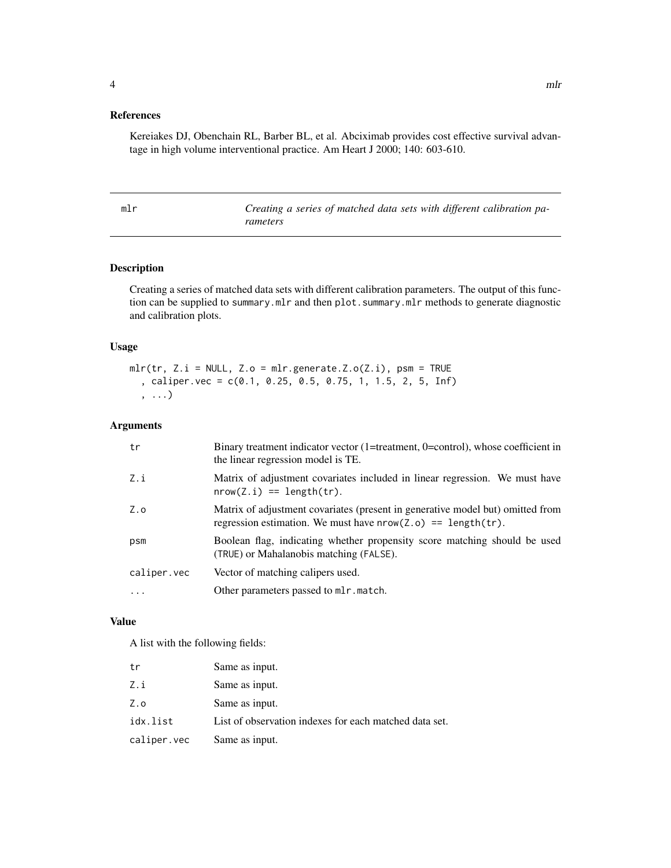#### <span id="page-3-0"></span>References

Kereiakes DJ, Obenchain RL, Barber BL, et al. Abciximab provides cost effective survival advantage in high volume interventional practice. Am Heart J 2000; 140: 603-610.

mlr *Creating a series of matched data sets with different calibration parameters*

#### Description

Creating a series of matched data sets with different calibration parameters. The output of this function can be supplied to summary.mlr and then plot.summary.mlr methods to generate diagnostic and calibration plots.

#### Usage

 $mlr(tr, Z.i = NULL, Z.o = mlr.generate.Z.o(Z.i), psm = TRUE$ , caliper.vec = c(0.1, 0.25, 0.5, 0.75, 1, 1.5, 2, 5, Inf) , ...)

#### Arguments

| tr          | Binary treatment indicator vector (1=treatment, 0=control), whose coefficient in<br>the linear regression model is TE.                            |
|-------------|---------------------------------------------------------------------------------------------------------------------------------------------------|
| Z.i         | Matrix of adjustment covariates included in linear regression. We must have<br>$nrow(Z, i) == length(tr)$ .                                       |
| Z.o         | Matrix of adjustment covariates (present in generative model but) omitted from<br>regression estimation. We must have $nrow(Z.o) == length(tr)$ . |
| psm         | Boolean flag, indicating whether propensity score matching should be used<br>(TRUE) or Mahalanobis matching (FALSE).                              |
| caliper.vec | Vector of matching calipers used.                                                                                                                 |
| $\cdot$     | Other parameters passed to mlr. match.                                                                                                            |

#### Value

A list with the following fields:

| tr          | Same as input.                                         |
|-------------|--------------------------------------------------------|
| Z.i         | Same as input.                                         |
| Z.o         | Same as input.                                         |
| idx.list    | List of observation indexes for each matched data set. |
| caliper.vec | Same as input.                                         |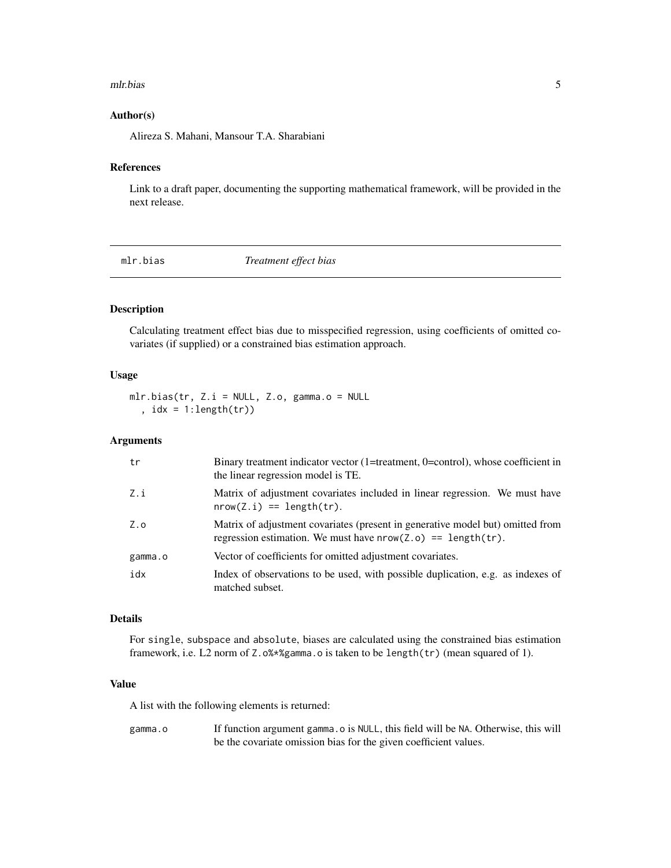#### <span id="page-4-0"></span>mlr.bias 5

#### Author(s)

Alireza S. Mahani, Mansour T.A. Sharabiani

#### References

Link to a draft paper, documenting the supporting mathematical framework, will be provided in the next release.

mlr.bias *Treatment effect bias*

#### Description

Calculating treatment effect bias due to misspecified regression, using coefficients of omitted covariates (if supplied) or a constrained bias estimation approach.

#### Usage

```
mlr.bias(tr, Z.i = NULL, Z.o, gamma.o = NULL
  , idx = 1:length(tr)
```
## Arguments

| tr      | Binary treatment indicator vector (1=treatment, 0=control), whose coefficient in<br>the linear regression model is TE.                            |
|---------|---------------------------------------------------------------------------------------------------------------------------------------------------|
| Z.i     | Matrix of adjustment covariates included in linear regression. We must have<br>$nrow(Z, i) == length(tr)$ .                                       |
| Z.o     | Matrix of adjustment covariates (present in generative model but) omitted from<br>regression estimation. We must have $nrow(Z.o) == length(tr)$ . |
| gamma.o | Vector of coefficients for omitted adjustment covariates.                                                                                         |
| idx     | Index of observations to be used, with possible duplication, e.g. as indexes of<br>matched subset.                                                |

#### Details

For single, subspace and absolute, biases are calculated using the constrained bias estimation framework, i.e. L2 norm of Z.o%\*%gamma.o is taken to be length(tr) (mean squared of 1).

#### Value

A list with the following elements is returned:

gamma.o If function argument gamma.o is NULL, this field will be NA. Otherwise, this will be the covariate omission bias for the given coefficient values.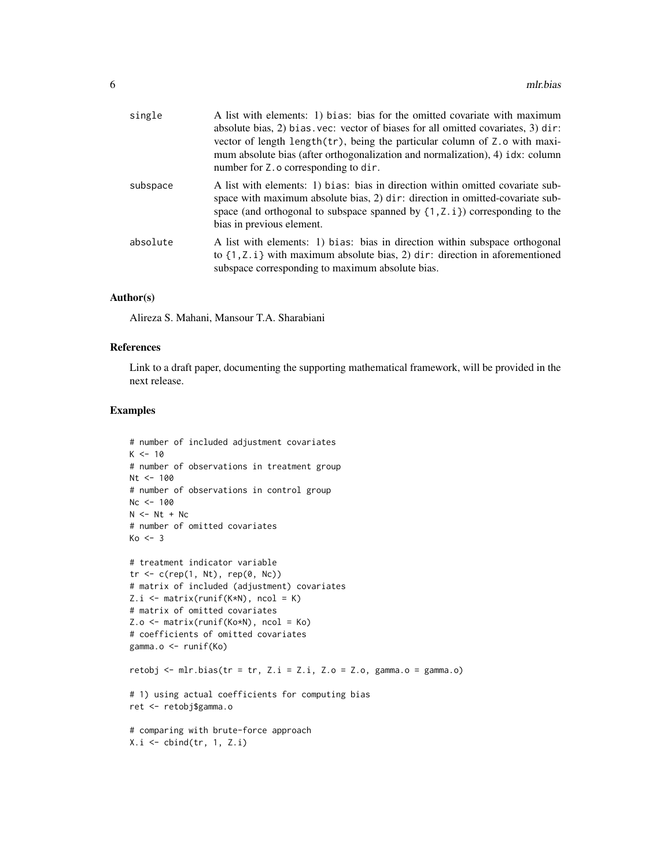| single   | A list with elements: 1) bias: bias for the omitted covariate with maximum<br>absolute bias, 2) bias vec: vector of biases for all omitted covariates, 3) dir:<br>vector of length length(tr), being the particular column of Z.o with maxi-<br>mum absolute bias (after orthogonalization and normalization), 4) idx: column<br>number for Z. o corresponding to dir. |
|----------|------------------------------------------------------------------------------------------------------------------------------------------------------------------------------------------------------------------------------------------------------------------------------------------------------------------------------------------------------------------------|
| subspace | A list with elements: 1) bias: bias in direction within omitted covariate sub-<br>space with maximum absolute bias, 2) dir: direction in omitted-covariate sub-<br>space (and orthogonal to subspace spanned by $\{1, Z, i\}$ ) corresponding to the<br>bias in previous element.                                                                                      |
| absolute | A list with elements: 1) bias: bias in direction within subspace orthogonal<br>to $\{1, Z, i\}$ with maximum absolute bias, 2) dir: direction in aforementioned<br>subspace corresponding to maximum absolute bias.                                                                                                                                                    |

#### Author(s)

Alireza S. Mahani, Mansour T.A. Sharabiani

#### References

Link to a draft paper, documenting the supporting mathematical framework, will be provided in the next release.

#### Examples

```
# number of included adjustment covariates
K < -10# number of observations in treatment group
Nt < -100# number of observations in control group
Nc < -100N < - Nt + Nc# number of omitted covariates
Ko \leftarrow 3# treatment indicator variable
tr <- c(rep(1, Nt), rep(0, Nc))
# matrix of included (adjustment) covariates
Z.i \leq matrix(runif(K*N), ncol = K)
# matrix of omitted covariates
Z.o <- matrix(runif(Ko*N), ncol = Ko)
# coefficients of omitted covariates
gamma.o <- runif(Ko)
retobj <- mlr.bias(tr = tr, Z.i = Z.i, Z.o = Z.o, gamma.o = gamma.o)
# 1) using actual coefficients for computing bias
ret <- retobj$gamma.o
# comparing with brute-force approach
X.i <- cbind(tr, 1, Z.i)
```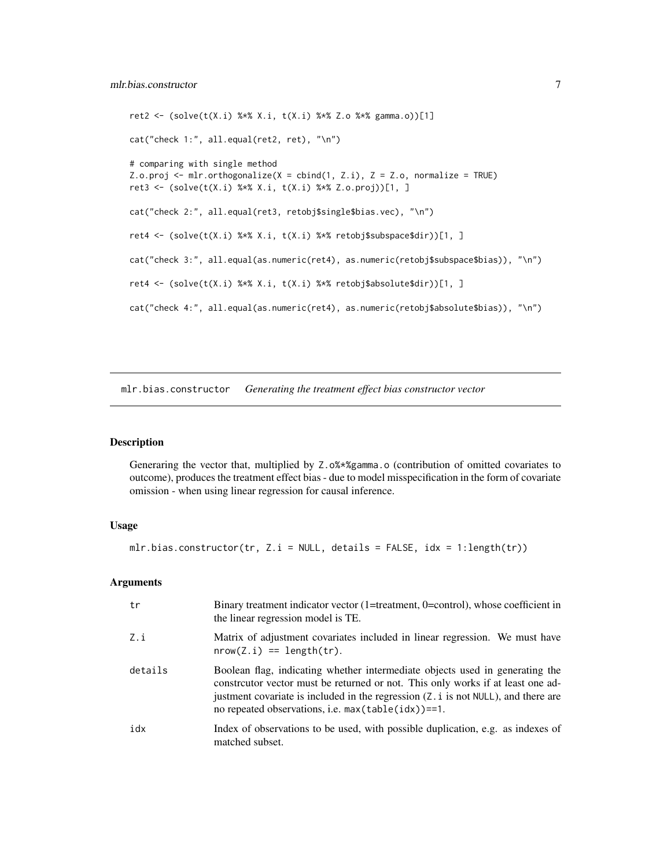```
ret2 <- (solve(t(X.i) % * X.i, t(X.i) % * Z.o % * X gamma.o))[1]cat("check 1:", all.equal(ret2, ret), "\n")
# comparing with single method
Z.o.proj \leq mlr.orthogonalize(X = cbind(1, Z.i), Z = Z.o, normalize = TRUE)
ret3 <- (solve(t(X.i) %*% X.i, t(X.i) %*% Z.o.proj))[1, ]
cat("check 2:", all.equal(ret3, retobj$single$bias.vec), "\n")
ret4 <- (solve(t(X.i) %*% X.i, t(X.i) %*% retobj$subspace$dir))[1, ]
cat("check 3:", all.equal(as.numeric(ret4), as.numeric(retobj$subspace$bias)), "\n")
ret4 <- (solve(t(X.i) %*% X.i, t(X.i) %*% retobj$absolute$dir))[1, ]
cat("check 4:", all.equal(as.numeric(ret4), as.numeric(retobj$absolute$bias)), "\n")
```
mlr.bias.constructor *Generating the treatment effect bias constructor vector*

#### Description

Generaring the vector that, multiplied by Z.o%\*%gamma.o (contribution of omitted covariates to outcome), produces the treatment effect bias - due to model misspecification in the form of covariate omission - when using linear regression for causal inference.

#### Usage

```
mlr.bias.constructor(tr, Z.i = NULL, details = FALSE, idx = 1:length(tr))
```
#### Arguments

| tr      | Binary treatment indicator vector (1=treatment, 0=control), whose coefficient in<br>the linear regression model is TE.                                                                                                                                                                                           |
|---------|------------------------------------------------------------------------------------------------------------------------------------------------------------------------------------------------------------------------------------------------------------------------------------------------------------------|
| Z.i     | Matrix of adjustment covariates included in linear regression. We must have<br>$nrow(Z, i) == length(tr)$ .                                                                                                                                                                                                      |
| details | Boolean flag, indicating whether intermediate objects used in generating the<br>constructor vector must be returned or not. This only works if at least one ad-<br>justment covariate is included in the regression (Z. i is not NULL), and there are<br>no repeated observations, i.e. $max(table(idx)) == 1$ . |
| idx     | Index of observations to be used, with possible duplication, e.g. as indexes of<br>matched subset.                                                                                                                                                                                                               |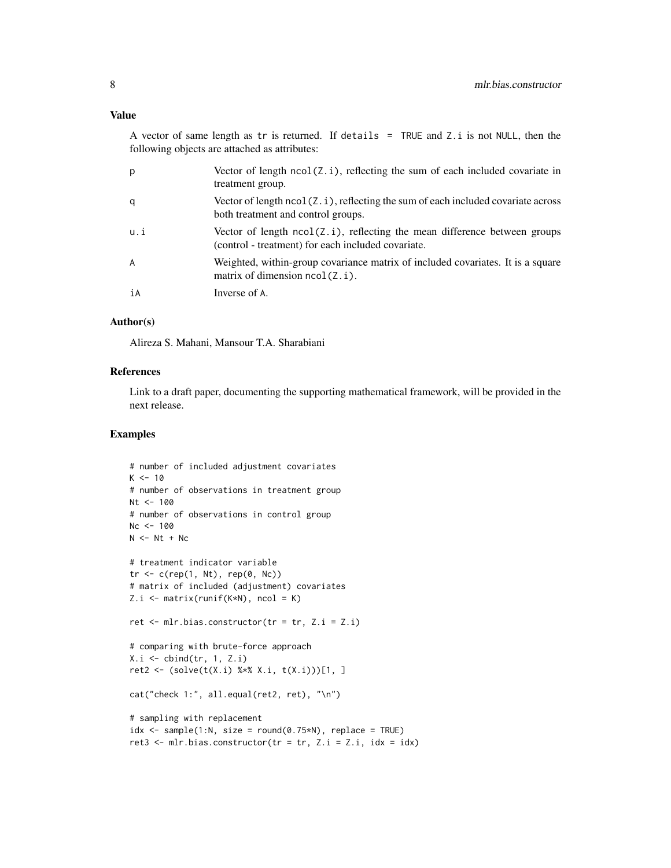# Value

A vector of same length as  $tr$  is returned. If details = TRUE and Z.i is not NULL, then the following objects are attached as attributes:

| p   | Vector of length $ncol(Z, i)$ , reflecting the sum of each included covariate in<br>treatment group.                                |
|-----|-------------------------------------------------------------------------------------------------------------------------------------|
| q   | Vector of length $ncol(Z, i)$ , reflecting the sum of each included covariate across<br>both treatment and control groups.          |
| u.i | Vector of length $ncol(Z, i)$ , reflecting the mean difference between groups<br>(control - treatment) for each included covariate. |
| A   | Weighted, within-group covariance matrix of included covariates. It is a square<br>matrix of dimension $ncol(Z, i)$ .               |
| iA  | Inverse of A.                                                                                                                       |

#### Author(s)

Alireza S. Mahani, Mansour T.A. Sharabiani

#### References

Link to a draft paper, documenting the supporting mathematical framework, will be provided in the next release.

# Examples

```
# number of included adjustment covariates
K < -10# number of observations in treatment group
Nt <- 100
# number of observations in control group
Nc < -100N < - Nt + Nc# treatment indicator variable
tr < -c(rep(1, Nt), rep(0, Nc))# matrix of included (adjustment) covariates
Z.i \leq matrix(runif(K*N), ncol = K)
ret \leq mlr.bias.constructor(tr = tr, Z.i = Z.i)
# comparing with brute-force approach
X.i \leftarrow \text{cbind(tr}, 1, Z.i)ret2 <- (solve(t(X.i) % * X.i, t(X.i)))[1, ]cat("check 1:", all.equal(ret2, ret), "\n")
# sampling with replacement
idx \le sample(1:N, size = round(0.75*N), replace = TRUE)
ret3 \leq mlr.bias.constructor(tr = tr, Z.i = Z.i, idx = idx)
```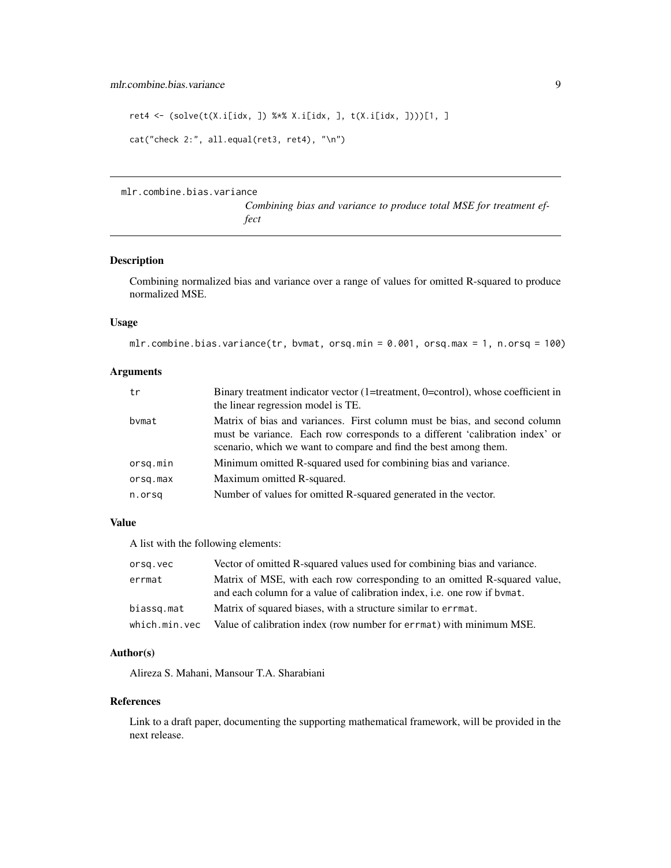```
ret4 <- (solve(t(X.i[idx, ]) %*% X.i[idx, ], t(X.i[idx, ])))[1, ]
cat("check 2:", all.equal(ret3, ret4), "\n")
```
mlr.combine.bias.variance

*Combining bias and variance to produce total MSE for treatment effect*

#### Description

Combining normalized bias and variance over a range of values for omitted R-squared to produce normalized MSE.

# Usage

```
mlr.combine.bias.variance(tr, bvmat, orsq.min = 0.001, orsq.max = 1, n.orsq = 100)
```
# Arguments

| tr       | Binary treatment indicator vector $(1=$ treatment, $0=$ control), whose coefficient in<br>the linear regression model is TE.                                                                                                   |
|----------|--------------------------------------------------------------------------------------------------------------------------------------------------------------------------------------------------------------------------------|
| bvmat    | Matrix of bias and variances. First column must be bias, and second column<br>must be variance. Each row corresponds to a different 'calibration index' or<br>scenario, which we want to compare and find the best among them. |
| orsq.min | Minimum omitted R-squared used for combining bias and variance.                                                                                                                                                                |
| orsq.max | Maximum omitted R-squared.                                                                                                                                                                                                     |
| n.orsg   | Number of values for omitted R-squared generated in the vector.                                                                                                                                                                |

#### Value

A list with the following elements:

| orsg.vec      | Vector of omitted R-squared values used for combining bias and variance.                                                                               |
|---------------|--------------------------------------------------------------------------------------------------------------------------------------------------------|
| errmat        | Matrix of MSE, with each row corresponding to an omitted R-squared value,<br>and each column for a value of calibration index, i.e. one row if by mat. |
| biassg.mat    | Matrix of squared biases, with a structure similar to errmat.                                                                                          |
| which.min.vec | Value of calibration index (row number for errmat) with minimum MSE.                                                                                   |

# Author(s)

Alireza S. Mahani, Mansour T.A. Sharabiani

# References

Link to a draft paper, documenting the supporting mathematical framework, will be provided in the next release.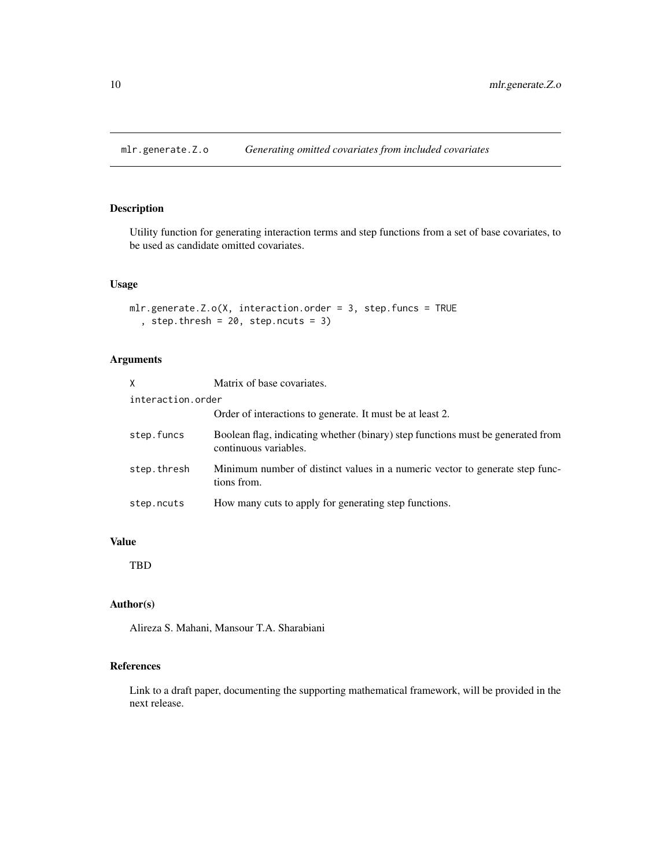<span id="page-9-0"></span>mlr.generate.Z.o *Generating omitted covariates from included covariates*

# Description

Utility function for generating interaction terms and step functions from a set of base covariates, to be used as candidate omitted covariates.

# Usage

```
mlr.generate.Z.o(X, interaction.order = 3, step.funcs = TRUE
  , step.thresh = 20, step.ncuts = 3)
```
# Arguments

| X                 | Matrix of base covariates.                                                                               |
|-------------------|----------------------------------------------------------------------------------------------------------|
| interaction.order |                                                                                                          |
|                   | Order of interactions to generate. It must be at least 2.                                                |
| step.funcs        | Boolean flag, indicating whether (binary) step functions must be generated from<br>continuous variables. |
| step.thresh       | Minimum number of distinct values in a numeric vector to generate step func-<br>tions from.              |
| step.ncuts        | How many cuts to apply for generating step functions.                                                    |

#### Value

TBD

# Author(s)

Alireza S. Mahani, Mansour T.A. Sharabiani

# References

Link to a draft paper, documenting the supporting mathematical framework, will be provided in the next release.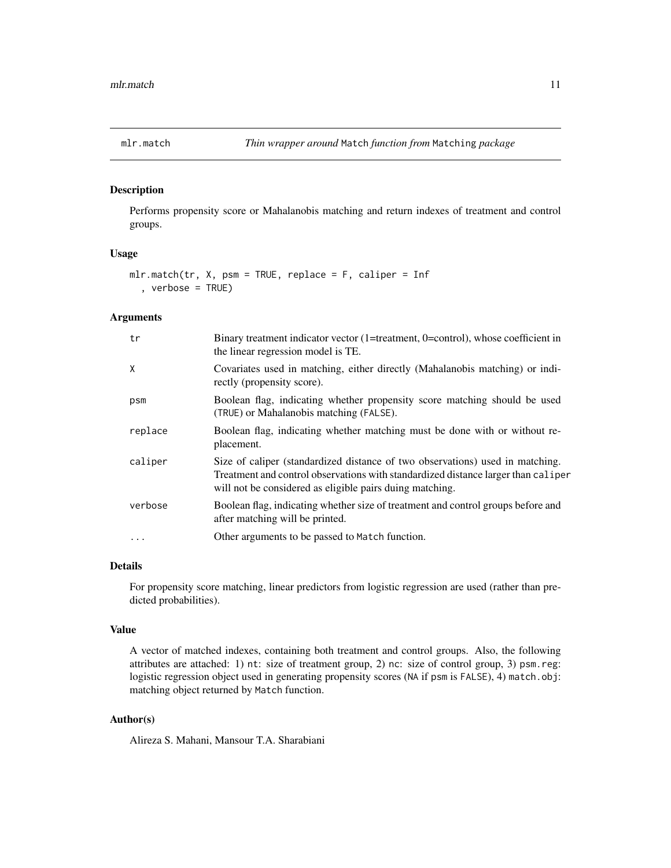<span id="page-10-0"></span>

Performs propensity score or Mahalanobis matching and return indexes of treatment and control groups.

# Usage

```
mlr.match(tr, X, psm = TRUE, replace = F, caliper = Inf
  , verbose = TRUE)
```
### Arguments

| tr        | Binary treatment indicator vector (1=treatment, 0=control), whose coefficient in<br>the linear regression model is TE.                                                                                                         |
|-----------|--------------------------------------------------------------------------------------------------------------------------------------------------------------------------------------------------------------------------------|
| X         | Covariates used in matching, either directly (Mahalanobis matching) or indi-<br>rectly (propensity score).                                                                                                                     |
| psm       | Boolean flag, indicating whether propensity score matching should be used<br>(TRUE) or Mahalanobis matching (FALSE).                                                                                                           |
| replace   | Boolean flag, indicating whether matching must be done with or without re-<br>placement.                                                                                                                                       |
| caliper   | Size of caliper (standardized distance of two observations) used in matching.<br>Treatment and control observations with standardized distance larger than caliper<br>will not be considered as eligible pairs duing matching. |
| verbose   | Boolean flag, indicating whether size of treatment and control groups before and<br>after matching will be printed.                                                                                                            |
| $\ddotsc$ | Other arguments to be passed to Match function.                                                                                                                                                                                |

#### Details

For propensity score matching, linear predictors from logistic regression are used (rather than predicted probabilities).

#### Value

A vector of matched indexes, containing both treatment and control groups. Also, the following attributes are attached: 1) nt: size of treatment group, 2) nc: size of control group, 3) psm.reg: logistic regression object used in generating propensity scores (NA if psm is FALSE), 4) match.obj: matching object returned by Match function.

#### Author(s)

Alireza S. Mahani, Mansour T.A. Sharabiani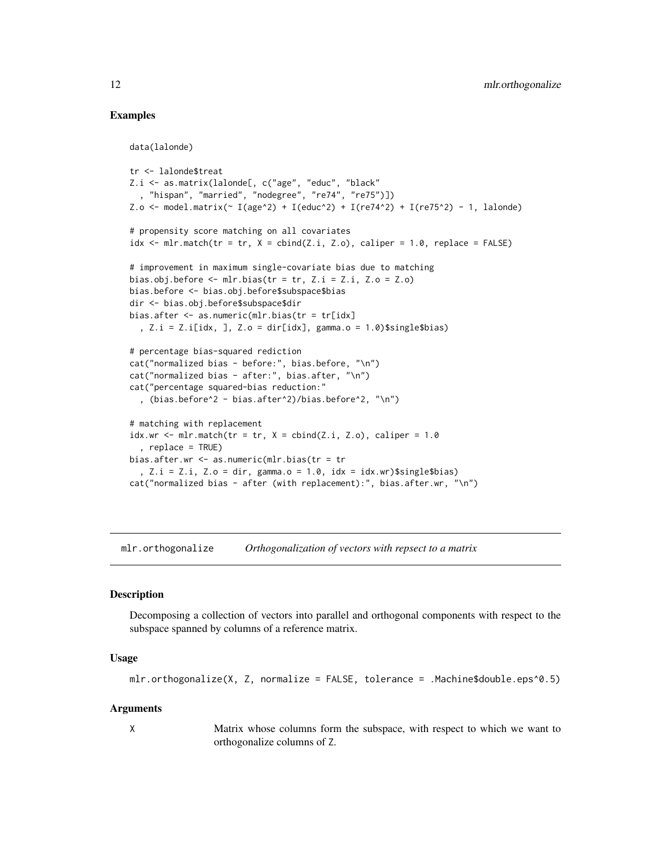# Examples

data(lalonde)

```
tr <- lalonde$treat
Z.i <- as.matrix(lalonde[, c("age", "educ", "black"
  , "hispan", "married", "nodegree", "re74", "re75")])
Z.o <- model.matrix(\sim I(age^2) + I(educ^2) + I(re74^2) + I(re75^2) - 1, lalone)# propensity score matching on all covariates
idx \leq mlr.match(tr = tr, X = cbind(Z.i, Z.o), caliper = 1.0, replace = FALSE)# improvement in maximum single-covariate bias due to matching
bias.obj.before \leq mlr.bias(tr = tr, Z.i = Z.i, Z.o = Z.o)
bias.before <- bias.obj.before$subspace$bias
dir <- bias.obj.before$subspace$dir
bias.after <- as.numeric(mlr.bias(tr = tr[idx]
  , Z.i = Z.i[idx, ], Z.o = dir[idx], gamma.o = 1.0)$single$bias)
# percentage bias-squared rediction
cat("normalized bias - before:", bias.before, "\n")
cat("normalized bias - after:", bias.after, "\n")
cat("percentage squared-bias reduction:"
  , (bias.before^2 - bias.after^2)/bias.before^2, "\n")
# matching with replacement
idx.wr \leq mlr.match(tr = tr, X = cbind(Z.i, Z.o), caliper = 1.0, replace = TRUE)
bias.after.wr <- as.numeric(mlr.bias(tr = tr
  , Z.i = Z.i, Z.o = dir, gamma.o = 1.0, idx = idx.wr)$single$bias)
cat("normalized bias - after (with replacement):", bias.after.wr, "\n")
```
mlr.orthogonalize *Orthogonalization of vectors with repsect to a matrix*

#### Description

Decomposing a collection of vectors into parallel and orthogonal components with respect to the subspace spanned by columns of a reference matrix.

#### Usage

```
mlr.orthogonalize(X, Z, normalize = FALSE, tolerance = .Machine$double.eps^0.5)
```
#### Arguments

X Matrix whose columns form the subspace, with respect to which we want to orthogonalize columns of Z.

<span id="page-11-0"></span>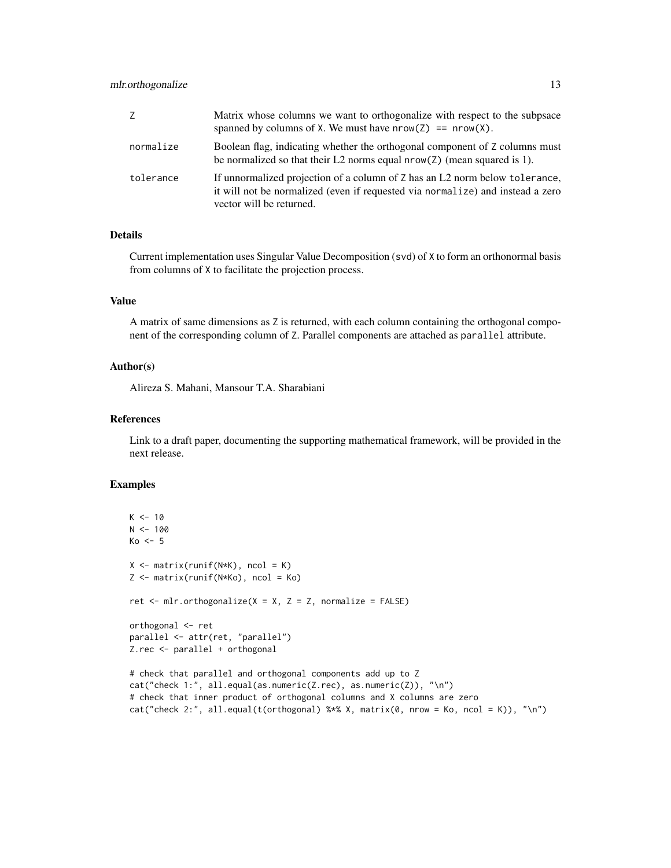# mlr.orthogonalize 13

| Z         | Matrix whose columns we want to orthogonalize with respect to the subpsace<br>spanned by columns of X. We must have $nrow(Z) == new(X)$ .                                                  |
|-----------|--------------------------------------------------------------------------------------------------------------------------------------------------------------------------------------------|
| normalize | Boolean flag, indicating whether the orthogonal component of Z columns must<br>be normalized so that their L2 norms equal $nrow(Z)$ (mean squared is 1).                                   |
| tolerance | If unnormalized projection of a column of Z has an L2 norm below to lerance,<br>it will not be normalized (even if requested via normalize) and instead a zero<br>vector will be returned. |

### Details

Current implementation uses Singular Value Decomposition (svd) of X to form an orthonormal basis from columns of X to facilitate the projection process.

# Value

A matrix of same dimensions as Z is returned, with each column containing the orthogonal component of the corresponding column of Z. Parallel components are attached as parallel attribute.

#### Author(s)

Alireza S. Mahani, Mansour T.A. Sharabiani

#### References

Link to a draft paper, documenting the supporting mathematical framework, will be provided in the next release.

#### Examples

```
K < -10N < - 100Ko < -5X \leftarrow matrix(runif(N*K), ncol = K)Z <- matrix(runif(N*Ko), ncol = Ko)
ret \le mlr.orthogonalize(X = X, Z = Z, normalize = FALSE)
orthogonal <- ret
parallel <- attr(ret, "parallel")
Z.rec <- parallel + orthogonal
# check that parallel and orthogonal components add up to Z
cat("check 1:", all.equal(as.numeric(Z.rec), as.numeric(Z)), "\n")
# check that inner product of orthogonal columns and X columns are zero
cat("check 2:", all.equal(t(orthogonal) %*% X, matrix(0, nrow = Ko, ncol = K)), "\n")
```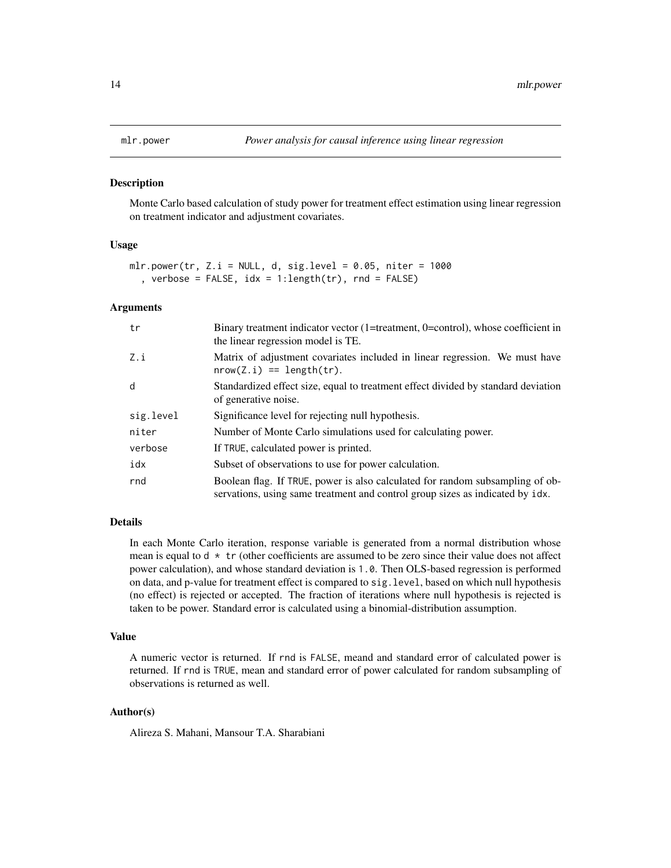<span id="page-13-0"></span>

Monte Carlo based calculation of study power for treatment effect estimation using linear regression on treatment indicator and adjustment covariates.

#### Usage

```
mlr.power(tr, Z.i = NULL, d, sig.level = 0.05, niter = 1000
  , verbose = FALSE, idx = 1:length(tr), rnd = FALSE)
```
# Arguments

| tr        | Binary treatment indicator vector (1=treatment, 0=control), whose coefficient in<br>the linear regression model is TE.                                         |
|-----------|----------------------------------------------------------------------------------------------------------------------------------------------------------------|
| Z.i       | Matrix of adjustment covariates included in linear regression. We must have<br>$nrow(Z.i) == length(tr).$                                                      |
| d         | Standardized effect size, equal to treatment effect divided by standard deviation<br>of generative noise.                                                      |
| sig.level | Significance level for rejecting null hypothesis.                                                                                                              |
| niter     | Number of Monte Carlo simulations used for calculating power.                                                                                                  |
| verbose   | If TRUE, calculated power is printed.                                                                                                                          |
| idx       | Subset of observations to use for power calculation.                                                                                                           |
| rnd       | Boolean flag. If TRUE, power is also calculated for random subsampling of ob-<br>servations, using same treatment and control group sizes as indicated by idx. |

#### Details

In each Monte Carlo iteration, response variable is generated from a normal distribution whose mean is equal to  $d * tr$  (other coefficients are assumed to be zero since their value does not affect power calculation), and whose standard deviation is 1.0. Then OLS-based regression is performed on data, and p-value for treatment effect is compared to sig.level, based on which null hypothesis (no effect) is rejected or accepted. The fraction of iterations where null hypothesis is rejected is taken to be power. Standard error is calculated using a binomial-distribution assumption.

#### Value

A numeric vector is returned. If rnd is FALSE, meand and standard error of calculated power is returned. If rnd is TRUE, mean and standard error of power calculated for random subsampling of observations is returned as well.

# Author(s)

Alireza S. Mahani, Mansour T.A. Sharabiani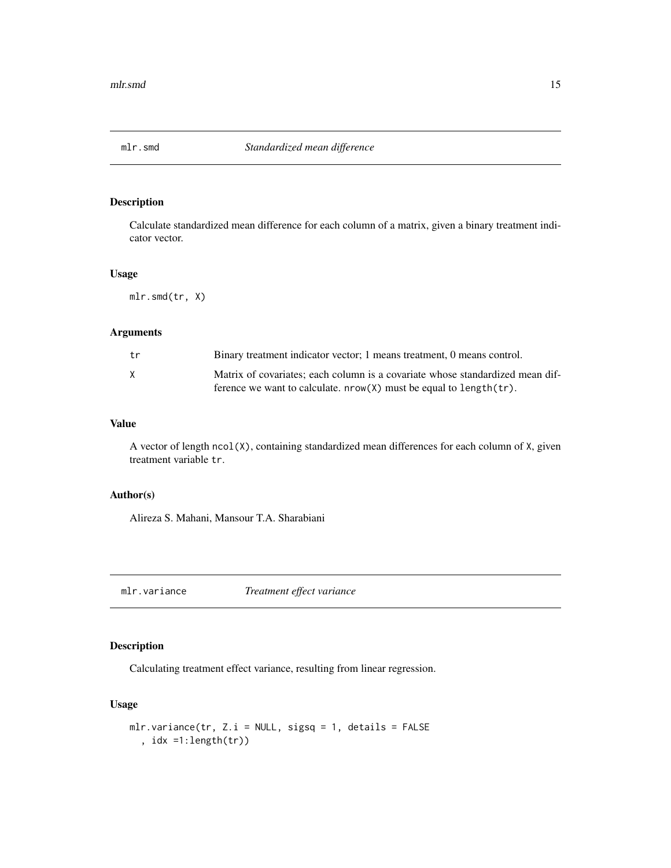<span id="page-14-0"></span>

Calculate standardized mean difference for each column of a matrix, given a binary treatment indicator vector.

#### Usage

mlr.smd(tr, X)

# Arguments

| tr | Binary treatment indicator vector; 1 means treatment, 0 means control.        |
|----|-------------------------------------------------------------------------------|
| X  | Matrix of covariates; each column is a covariate whose standardized mean dif- |
|    | ference we want to calculate. $nrow(X)$ must be equal to length $(tr)$ .      |

# Value

A vector of length ncol(X), containing standardized mean differences for each column of X, given treatment variable tr.

# Author(s)

Alireza S. Mahani, Mansour T.A. Sharabiani

mlr.variance *Treatment effect variance*

# Description

Calculating treatment effect variance, resulting from linear regression.

# Usage

```
mlr.variance(tr, Z.i = NULL, sigsq = 1, details = FALSE
  , idx =1:length(tr))
```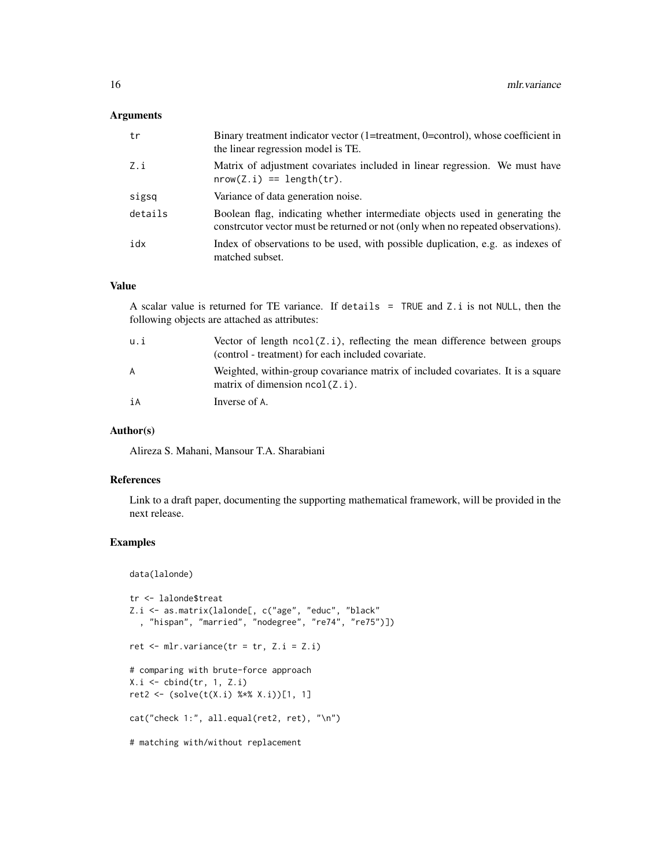# Arguments

| tr      | Binary treatment indicator vector $(1=$ treatment, $0=$ control), whose coefficient in<br>the linear regression model is TE.                                     |
|---------|------------------------------------------------------------------------------------------------------------------------------------------------------------------|
| Z.i     | Matrix of adjustment covariates included in linear regression. We must have<br>$nrow(Z, i) == length(tr)$ .                                                      |
| sigsq   | Variance of data generation noise.                                                                                                                               |
| details | Boolean flag, indicating whether intermediate objects used in generating the<br>constrcutor vector must be returned or not (only when no repeated observations). |
| idx     | Index of observations to be used, with possible duplication, e.g. as indexes of<br>matched subset.                                                               |

# Value

A scalar value is returned for TE variance. If details = TRUE and Z.i is not NULL, then the following objects are attached as attributes:

| u.i | Vector of length $ncol(Z, i)$ , reflecting the mean difference between groups<br>(control - treatment) for each included covariate. |
|-----|-------------------------------------------------------------------------------------------------------------------------------------|
| A   | Weighted, within-group covariance matrix of included covariates. It is a square<br>matrix of dimension $ncol(Z, i)$ .               |
| iA  | Inverse of A.                                                                                                                       |

#### Author(s)

Alireza S. Mahani, Mansour T.A. Sharabiani

#### References

Link to a draft paper, documenting the supporting mathematical framework, will be provided in the next release.

# Examples

data(lalonde)

```
tr <- lalonde$treat
Z.i <- as.matrix(lalonde[, c("age", "educ", "black"
  , "hispan", "married", "nodegree", "re74", "re75")])
ret \leq mlr.variance(tr = tr, Z.i = Z.i)
# comparing with brute-force approach
X.i \leftarrow \text{cbind(tr}, 1, Z.i)ret2 <- (solve(t(X.i) %*% X.i))[1, 1]
cat("check 1:", all.equal(ret2, ret), "\n")
# matching with/without replacement
```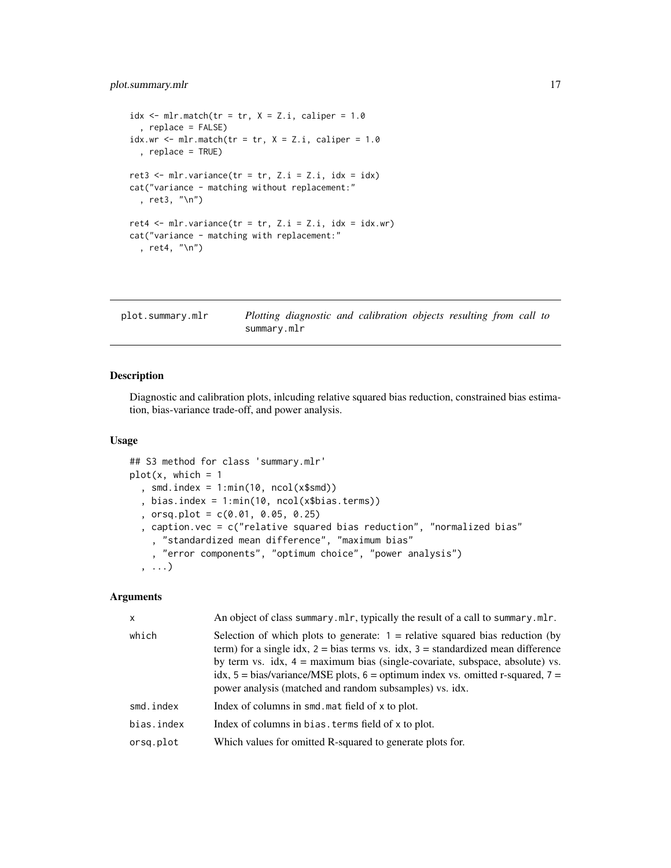# <span id="page-16-0"></span>plot.summary.mlr 17

```
idx \leq- mlr.match(tr = tr, X = Z.i, caliper = 1.0
  , replace = FALSE)
idx.wr <- mlr.match(tr = tr, X = Z.i, caliper = 1.0
  , replace = TRUE)
ret3 <- mlr.variance(tr = tr, Z.i = Z.i, idx = idx)
cat("variance - matching without replacement:"
  , ret3, "\n")
ret4 \le mlr.variance(tr = tr, Z.i = Z.i, idx = idx.wr)
cat("variance - matching with replacement:"
  , ret4, "\n")
```

| plot.summary.mlr |             |  | Plotting diagnostic and calibration objects resulting from call to |  |  |  |
|------------------|-------------|--|--------------------------------------------------------------------|--|--|--|
|                  | summary.mlr |  |                                                                    |  |  |  |

#### Description

Diagnostic and calibration plots, inlcuding relative squared bias reduction, constrained bias estimation, bias-variance trade-off, and power analysis.

# Usage

```
## S3 method for class 'summary.mlr'
plot(x, which = 1), smd.index = 1:min(10, ncol(x$smd)), bias.index = 1:min(10, ncol(x$bias.terms))
  , orsq.plot = c(0.01, 0.05, 0.25)
  , caption.vec = c("relative squared bias reduction", "normalized bias"
    , "standardized mean difference", "maximum bias"
    , "error components", "optimum choice", "power analysis")
  , ...)
```
# Arguments

| X          | An object of class summary.mlr, typically the result of a call to summary.mlr.                                                                                                                                                                                                                                                                                                                                  |
|------------|-----------------------------------------------------------------------------------------------------------------------------------------------------------------------------------------------------------------------------------------------------------------------------------------------------------------------------------------------------------------------------------------------------------------|
| which      | Selection of which plots to generate: $1 =$ relative squared bias reduction (by<br>term) for a single idx, $2 = bias$ terms vs. idx, $3 = standardized$ mean difference<br>by term vs. $idx$ , $4 = maximum bias$ (single-covariate, subspace, absolute) vs.<br>idx, $5 = bias/variance/MSE$ plots, $6 = optimum$ index vs. omitted r-squared, $7 =$<br>power analysis (matched and random subsamples) vs. idx. |
| smd.index  | Index of columns in smd. mat field of x to plot.                                                                                                                                                                                                                                                                                                                                                                |
| bias.index | Index of columns in bias. terms field of x to plot.                                                                                                                                                                                                                                                                                                                                                             |
| orsg.plot  | Which values for omitted R-squared to generate plots for.                                                                                                                                                                                                                                                                                                                                                       |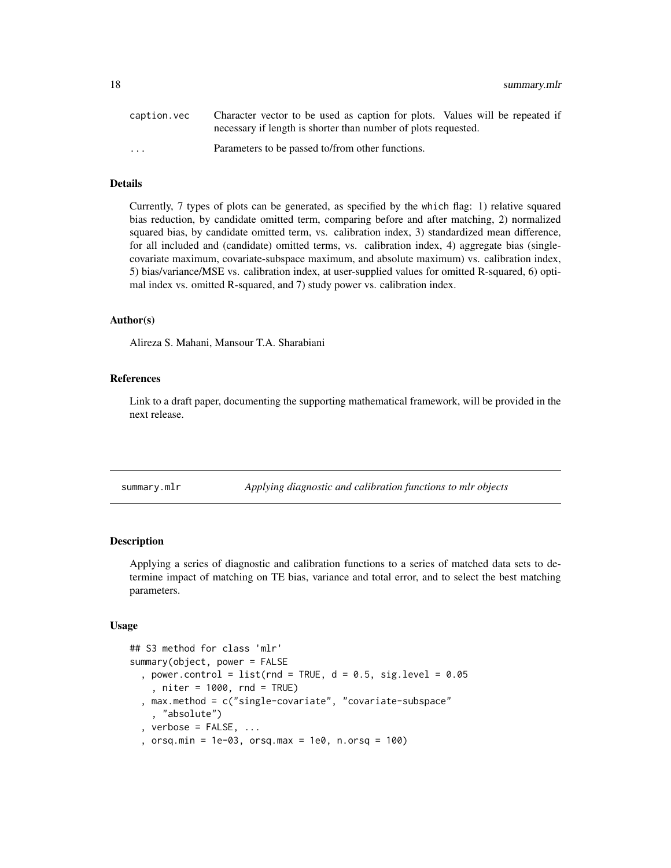<span id="page-17-0"></span>

| caption.vec             | Character vector to be used as caption for plots. Values will be repeated if |
|-------------------------|------------------------------------------------------------------------------|
|                         | necessary if length is shorter than number of plots requested.               |
| $\cdot$ $\cdot$ $\cdot$ | Parameters to be passed to/from other functions.                             |

# Details

Currently, 7 types of plots can be generated, as specified by the which flag: 1) relative squared bias reduction, by candidate omitted term, comparing before and after matching, 2) normalized squared bias, by candidate omitted term, vs. calibration index, 3) standardized mean difference, for all included and (candidate) omitted terms, vs. calibration index, 4) aggregate bias (singlecovariate maximum, covariate-subspace maximum, and absolute maximum) vs. calibration index, 5) bias/variance/MSE vs. calibration index, at user-supplied values for omitted R-squared, 6) optimal index vs. omitted R-squared, and 7) study power vs. calibration index.

#### Author(s)

Alireza S. Mahani, Mansour T.A. Sharabiani

#### References

Link to a draft paper, documenting the supporting mathematical framework, will be provided in the next release.

summary.mlr *Applying diagnostic and calibration functions to mlr objects*

#### Description

Applying a series of diagnostic and calibration functions to a series of matched data sets to determine impact of matching on TE bias, variance and total error, and to select the best matching parameters.

#### Usage

```
## S3 method for class 'mlr'
summary(object, power = FALSE
 , power.control = list(rnd = TRUE, d = 0.5, sig.level = 0.05
    , niter = 1000, rnd = TRUE)
  , max.method = c("single-covariate", "covariate-subspace"
    , "absolute")
  , verbose = FALSE, ..., orsq.min = 1e-03, orsq.max = 1e0, n.orsq = 100)
```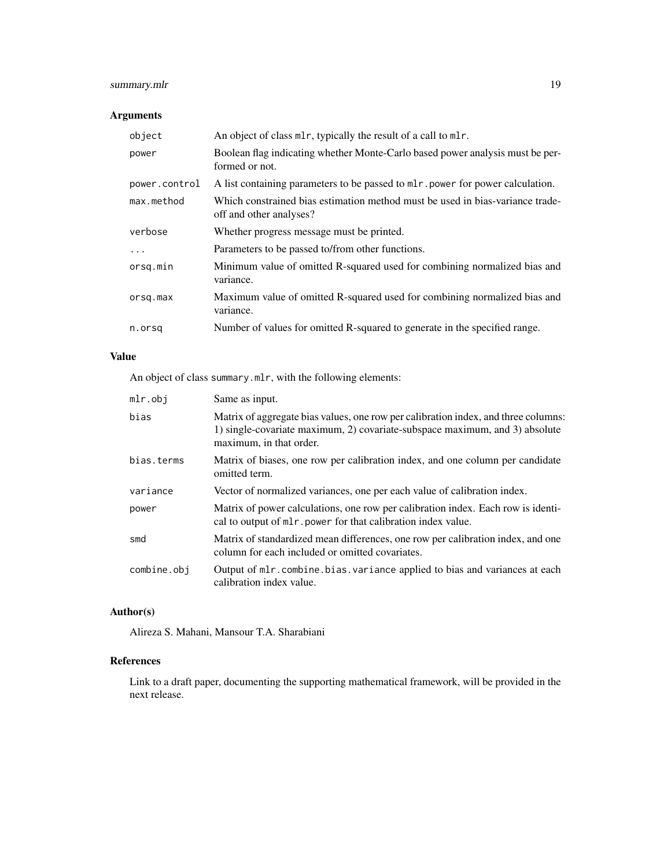# summary.mlr 19

# Arguments

| object        | An object of class ml r, typically the result of a call to ml r.                                         |
|---------------|----------------------------------------------------------------------------------------------------------|
| power         | Boolean flag indicating whether Monte-Carlo based power analysis must be per-<br>formed or not.          |
| power.control | A list containing parameters to be passed to ml r power for power calculation.                           |
| max.method    | Which constrained bias estimation method must be used in bias-variance trade-<br>off and other analyses? |
| verbose       | Whether progress message must be printed.                                                                |
| $\ddots$ .    | Parameters to be passed to/from other functions.                                                         |
| orsg.min      | Minimum value of omitted R-squared used for combining normalized bias and<br>variance.                   |
| orsq.max      | Maximum value of omitted R-squared used for combining normalized bias and<br>variance.                   |
| n.orsg        | Number of values for omitted R-squared to generate in the specified range.                               |

# Value

An object of class summary.mlr, with the following elements:

| mlr.obj     | Same as input.                                                                                                                                                                               |
|-------------|----------------------------------------------------------------------------------------------------------------------------------------------------------------------------------------------|
| bias        | Matrix of aggregate bias values, one row per calibration index, and three columns:<br>1) single-covariate maximum, 2) covariate-subspace maximum, and 3) absolute<br>maximum, in that order. |
| bias.terms  | Matrix of biases, one row per calibration index, and one column per candidate<br>omitted term.                                                                                               |
| variance    | Vector of normalized variances, one per each value of calibration index.                                                                                                                     |
| power       | Matrix of power calculations, one row per calibration index. Each row is identi-<br>cal to output of ml r. power for that calibration index value.                                           |
| smd         | Matrix of standardized mean differences, one row per calibration index, and one<br>column for each included or omitted covariates.                                                           |
| combine.obj | Output of ml r. combine. bias. variance applied to bias and variances at each<br>calibration index value.                                                                                    |

# Author(s)

Alireza S. Mahani, Mansour T.A. Sharabiani

# References

Link to a draft paper, documenting the supporting mathematical framework, will be provided in the next release.